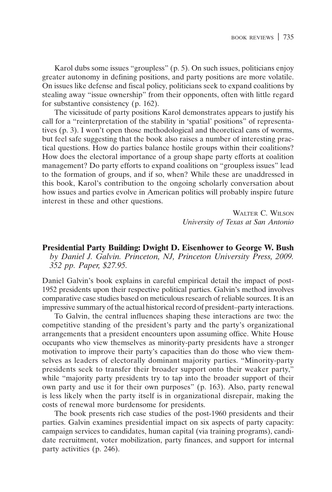Karol dubs some issues "groupless" (p. 5). On such issues, politicians enjoy greater autonomy in defining positions, and party positions are more volatile. On issues like defense and fiscal policy, politicians seek to expand coalitions by stealing away "issue ownership" from their opponents, often with little regard for substantive consistency  $(p. 162)$ .

The vicissitude of party positions Karol demonstrates appears to justify his call for a "reinterpretation of the stability in 'spatial' positions" of representatives (p. 3). I won't open those methodological and theoretical cans of worms, but feel safe suggesting that the book also raises a number of interesting practical questions. How do parties balance hostile groups within their coalitions? How does the electoral importance of a group shape party efforts at coalition management? Do party efforts to expand coalitions on "groupless issues" lead to the formation of groups, and if so, when? While these are unaddressed in this book, Karol's contribution to the ongoing scholarly conversation about how issues and parties evolve in American politics will probably inspire future interest in these and other questions.

> **WALTER C. WILSON** University of Texas at San Antonio

**Presidential Party Building: Dwight D. Eisenhower to George W. Bush** by Daniel J. Galvin. Princeton, NJ, Princeton University Press, 2009. 352 pp. Paper, \$27.95.

Daniel Galvin's book explains in careful empirical detail the impact of post-1952 presidents upon their respective political parties. Galvin's method involves comparative case studies based on meticulous research of reliable sources. It is an impressive summary of the actual historical record of president-party interactions.

To Galvin, the central influences shaping these interactions are two: the competitive standing of the president's party and the party's organizational arrangements that a president encounters upon assuming office. White House occupants who view themselves as minority-party presidents have a stronger motivation to improve their party's capacities than do those who view themselves as leaders of electorally dominant majority parties. "Minority-party presidents seek to transfer their broader support onto their weaker party," while "majority party presidents try to tap into the broader support of their own party and use it for their own purposes" (p. 163). Also, party renewal<br>is less likely when the party itself is in organizational disrepair, making the costs of renewal more burdensome for presidents.

The book presents rich case studies of the post-1960 presidents and their parties. Galvin examines presidential impact on six aspects of party capacity: campaign services to candidates, human capital (via training programs), candidate recruitment, voter mobilization, party finances, and support for internal party activities (p. 246).